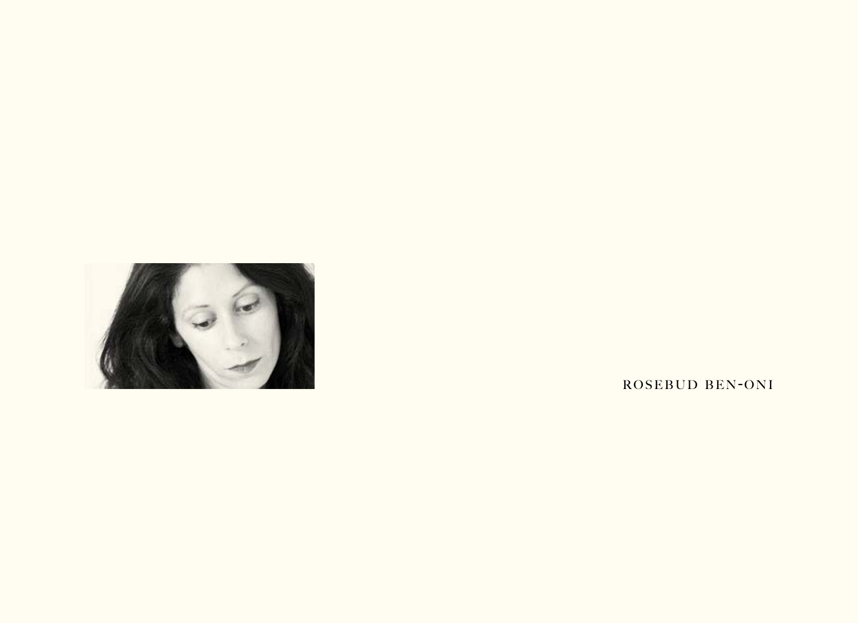

ROSEBUD BEN-ONI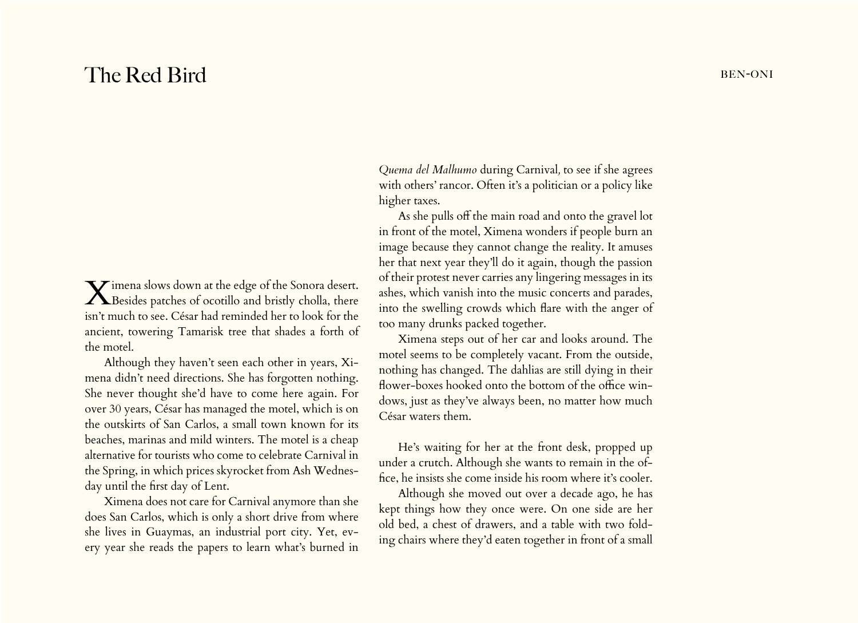## The Red Bird BEN-ONI

Ximena slows down at the edge of the Sonora desert. Besides patches of ocotillo and bristly cholla, there isn't much to see. César had reminded her to look for the ancient, towering Tamarisk tree that shades a forth of the motel.

Although they haven't seen each other in years, Ximena didn't need directions. She has forgotten nothing. She never thought she'd have to come here again. For over 30 years, César has managed the motel, which is on the outskirts of San Carlos, a small town known for its beaches, marinas and mild winters. The motel is a cheap alternative for tourists who come to celebrate Carnival in the Spring, in which prices skyrocket from Ash Wednesday until the first day of Lent.

Ximena does not care for Carnival anymore than she does San Carlos, which is only a short drive from where she lives in Guaymas, an industrial port city. Yet, every year she reads the papers to learn what's burned in

*Quema del Malhumo* during Carnival*,* to see if she agrees with others' rancor. Often it's a politician or a policy like higher taxes.

As she pulls off the main road and onto the gravel lot in front of the motel, Ximena wonders if people burn an image because they cannot change the reality. It amuses her that next year they'll do it again, though the passion of their protest never carries any lingering messages in its ashes, which vanish into the music concerts and parades, into the swelling crowds which flare with the anger of too many drunks packed together.

Ximena steps out of her car and looks around. The motel seems to be completely vacant. From the outside, nothing has changed. The dahlias are still dying in their flower-boxes hooked onto the bottom of the office windows, just as they've always been, no matter how much César waters them.

He's waiting for her at the front desk, propped up under a crutch. Although she wants to remain in the office, he insists she come inside his room where it's cooler.

Although she moved out over a decade ago, he has kept things how they once were. On one side are her old bed, a chest of drawers, and a table with two folding chairs where they'd eaten together in front of a small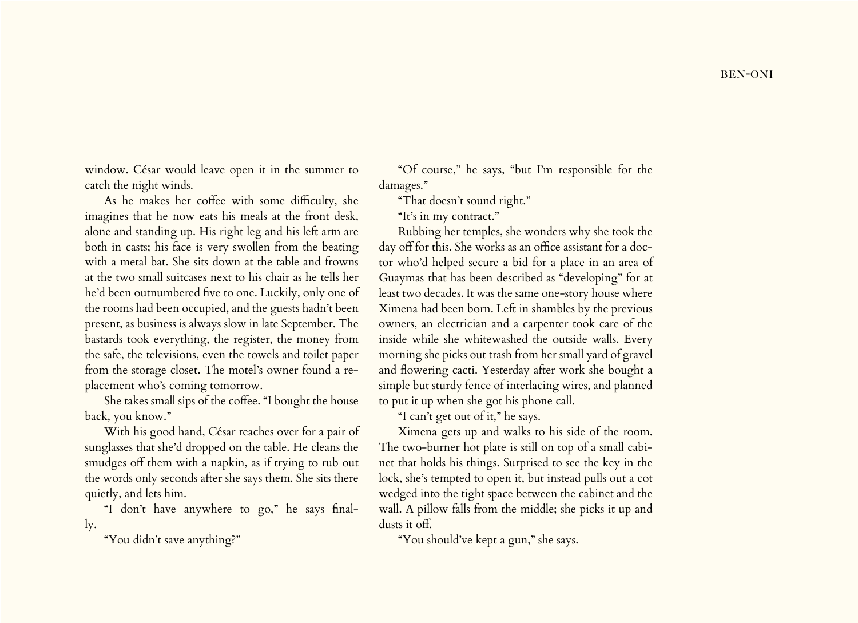window. César would leave open it in the summer to catch the night winds.

As he makes her coffee with some difficulty, she imagines that he now eats his meals at the front desk, alone and standing up. His right leg and his left arm are both in casts; his face is very swollen from the beating with a metal bat. She sits down at the table and frowns at the two small suitcases next to his chair as he tells her he'd been outnumbered five to one. Luckily, only one of the rooms had been occupied, and the guests hadn't been present, as business is always slow in late September. The bastards took everything, the register, the money from the safe, the televisions, even the towels and toilet paper from the storage closet. The motel's owner found a replacement who's coming tomorrow.

She takes small sips of the coffee. "I bought the house back, you know."

With his good hand, César reaches over for a pair of sunglasses that she'd dropped on the table. He cleans the smudges off them with a napkin, as if trying to rub out the words only seconds after she says them. She sits there quietly, and lets him.

"I don't have anywhere to go," he says finally.

"You didn't save anything?"

"Of course," he says, "but I'm responsible for the damages."

"That doesn't sound right."

"It's in my contract."

Rubbing her temples, she wonders why she took the day off for this. She works as an office assistant for a doctor who'd helped secure a bid for a place in an area of Guaymas that has been described as "developing" for at least two decades. It was the same one-story house where Ximena had been born. Left in shambles by the previous owners, an electrician and a carpenter took care of the inside while she whitewashed the outside walls. Every morning she picks out trash from her small yard of gravel and flowering cacti. Yesterday after work she bought a simple but sturdy fence of interlacing wires, and planned to put it up when she got his phone call.

"I can't get out of it," he says.

Ximena gets up and walks to his side of the room. The two-burner hot plate is still on top of a small cabinet that holds his things. Surprised to see the key in the lock, she's tempted to open it, but instead pulls out a cot wedged into the tight space between the cabinet and the wall. A pillow falls from the middle; she picks it up and dusts it off.

"You should've kept a gun," she says.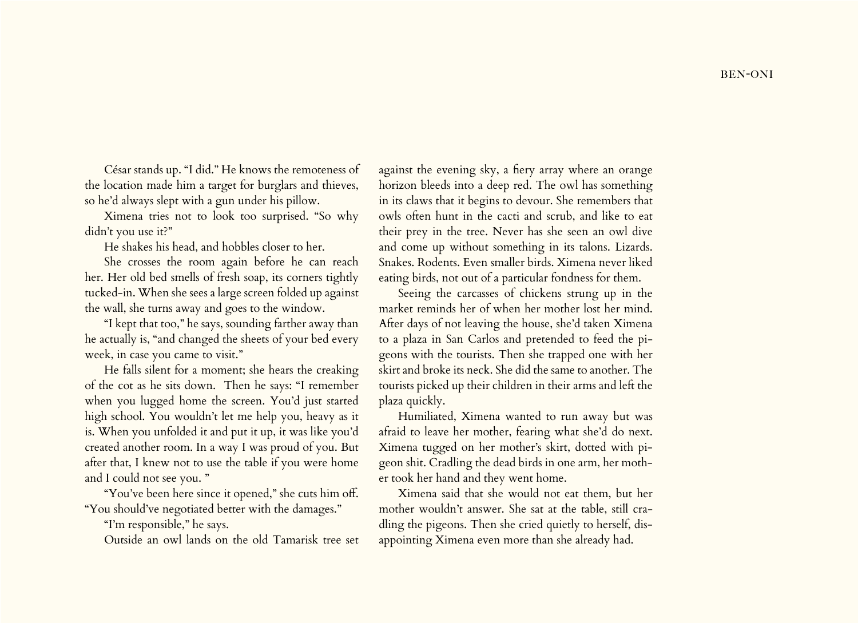César stands up. "I did." He knows the remoteness of the location made him a target for burglars and thieves, so he'd always slept with a gun under his pillow.

Ximena tries not to look too surprised. "So why didn't you use it?"

He shakes his head, and hobbles closer to her.

She crosses the room again before he can reach her. Her old bed smells of fresh soap, its corners tightly tucked-in. When she sees a large screen folded up against the wall, she turns away and goes to the window.

"I kept that too," he says, sounding farther away than he actually is, "and changed the sheets of your bed every week, in case you came to visit."

He falls silent for a moment; she hears the creaking of the cot as he sits down. Then he says: "I remember when you lugged home the screen. You'd just started high school. You wouldn't let me help you, heavy as it is. When you unfolded it and put it up, it was like you'd created another room. In a way I was proud of you. But after that, I knew not to use the table if you were home and I could not see you. "

"You've been here since it opened," she cuts him off. "You should've negotiated better with the damages."

"I'm responsible," he says.

Outside an owl lands on the old Tamarisk tree set

against the evening sky, a fiery array where an orange horizon bleeds into a deep red. The owl has something in its claws that it begins to devour. She remembers that owls often hunt in the cacti and scrub, and like to eat their prey in the tree. Never has she seen an owl dive and come up without something in its talons. Lizards. Snakes. Rodents. Even smaller birds. Ximena never liked eating birds, not out of a particular fondness for them.

Seeing the carcasses of chickens strung up in the market reminds her of when her mother lost her mind. After days of not leaving the house, she'd taken Ximena to a plaza in San Carlos and pretended to feed the pigeons with the tourists. Then she trapped one with her skirt and broke its neck. She did the same to another. The tourists picked up their children in their arms and left the plaza quickly.

Humiliated, Ximena wanted to run away but was afraid to leave her mother, fearing what she'd do next. Ximena tugged on her mother's skirt, dotted with pigeon shit. Cradling the dead birds in one arm, her mother took her hand and they went home.

Ximena said that she would not eat them, but her mother wouldn't answer. She sat at the table, still cradling the pigeons. Then she cried quietly to herself, disappointing Ximena even more than she already had.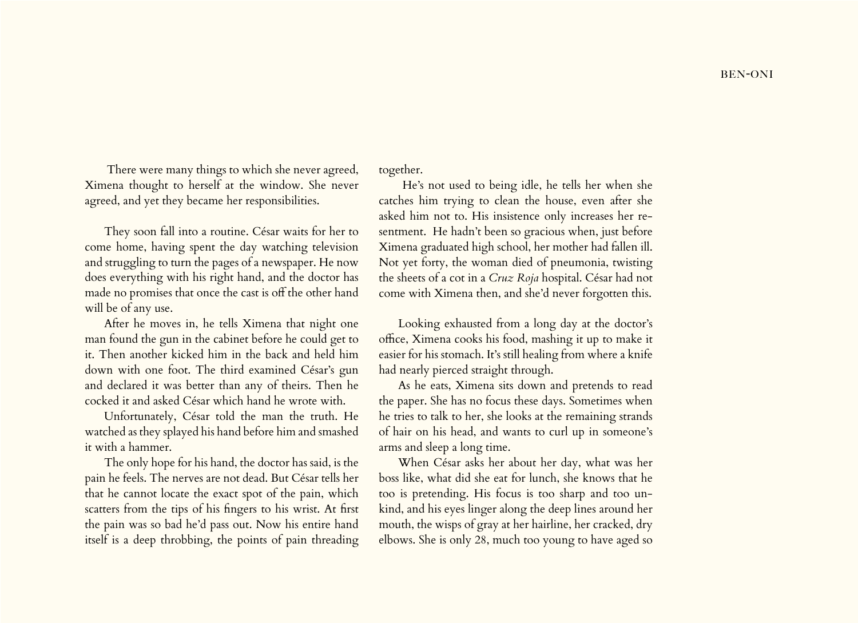There were many things to which she never agreed, Ximena thought to herself at the window. She never agreed, and yet they became her responsibilities.

They soon fall into a routine. César waits for her to come home, having spent the day watching television and struggling to turn the pages of a newspaper. He now does everything with his right hand, and the doctor has made no promises that once the cast is off the other hand will be of any use.

After he moves in, he tells Ximena that night one man found the gun in the cabinet before he could get to it. Then another kicked him in the back and held him down with one foot. The third examined César's gun and declared it was better than any of theirs. Then he cocked it and asked César which hand he wrote with.

Unfortunately, César told the man the truth. He watched as they splayed his hand before him and smashed it with a hammer.

The only hope for his hand, the doctor has said, is the pain he feels. The nerves are not dead. But César tells her that he cannot locate the exact spot of the pain, which scatters from the tips of his fingers to his wrist. At first the pain was so bad he'd pass out. Now his entire hand itself is a deep throbbing, the points of pain threading together.

 He's not used to being idle, he tells her when she catches him trying to clean the house, even after she asked him not to. His insistence only increases her resentment. He hadn't been so gracious when, just before Ximena graduated high school, her mother had fallen ill. Not yet forty, the woman died of pneumonia, twisting the sheets of a cot in a *Cruz Roja* hospital. César had not come with Ximena then, and she'd never forgotten this.

Looking exhausted from a long day at the doctor's office, Ximena cooks his food, mashing it up to make it easier for his stomach. It's still healing from where a knife had nearly pierced straight through.

As he eats, Ximena sits down and pretends to read the paper. She has no focus these days. Sometimes when he tries to talk to her, she looks at the remaining strands of hair on his head, and wants to curl up in someone's arms and sleep a long time.

When César asks her about her day, what was her boss like, what did she eat for lunch, she knows that he too is pretending. His focus is too sharp and too unkind, and his eyes linger along the deep lines around her mouth, the wisps of gray at her hairline, her cracked, dry elbows. She is only 28, much too young to have aged so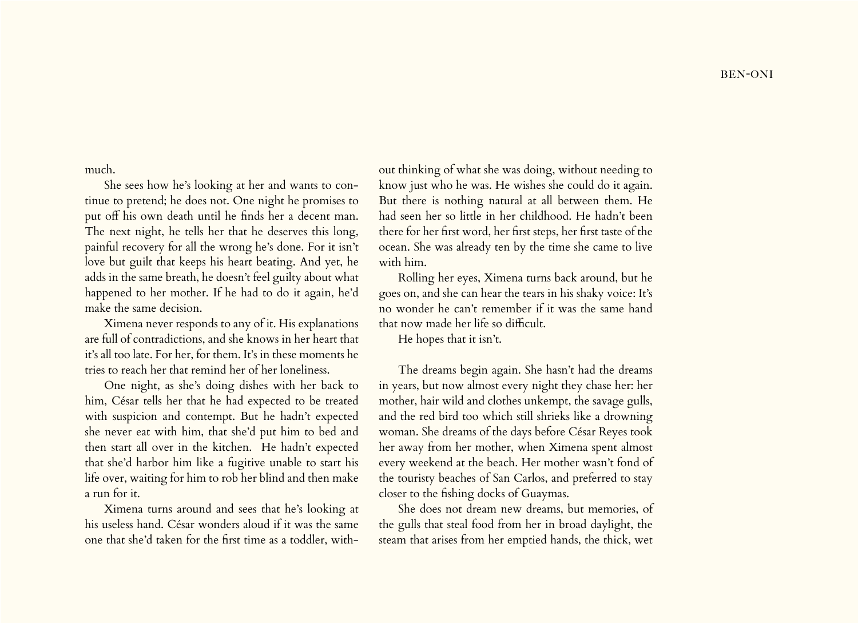much.

She sees how he's looking at her and wants to continue to pretend; he does not. One night he promises to put off his own death until he finds her a decent man. The next night, he tells her that he deserves this long, painful recovery for all the wrong he's done. For it isn't love but guilt that keeps his heart beating. And yet, he adds in the same breath, he doesn't feel guilty about what happened to her mother. If he had to do it again, he'd make the same decision.

Ximena never responds to any of it. His explanations are full of contradictions, and she knows in her heart that it's all too late. For her, for them. It's in these moments he tries to reach her that remind her of her loneliness.

One night, as she's doing dishes with her back to him, César tells her that he had expected to be treated with suspicion and contempt. But he hadn't expected she never eat with him, that she'd put him to bed and then start all over in the kitchen. He hadn't expected that she'd harbor him like a fugitive unable to start his life over, waiting for him to rob her blind and then make a run for it.

Ximena turns around and sees that he's looking at his useless hand. César wonders aloud if it was the same one that she'd taken for the first time as a toddler, without thinking of what she was doing, without needing to know just who he was. He wishes she could do it again. But there is nothing natural at all between them. He had seen her so little in her childhood. He hadn't been there for her first word, her first steps, her first taste of the ocean. She was already ten by the time she came to live with him.

Rolling her eyes, Ximena turns back around, but he goes on, and she can hear the tears in his shaky voice: It's no wonder he can't remember if it was the same hand that now made her life so difficult.

He hopes that it isn't.

The dreams begin again. She hasn't had the dreams in years, but now almost every night they chase her: her mother, hair wild and clothes unkempt, the savage gulls, and the red bird too which still shrieks like a drowning woman. She dreams of the days before César Reyes took her away from her mother, when Ximena spent almost every weekend at the beach. Her mother wasn't fond of the touristy beaches of San Carlos, and preferred to stay closer to the fishing docks of Guaymas.

She does not dream new dreams, but memories, of the gulls that steal food from her in broad daylight, the steam that arises from her emptied hands, the thick, wet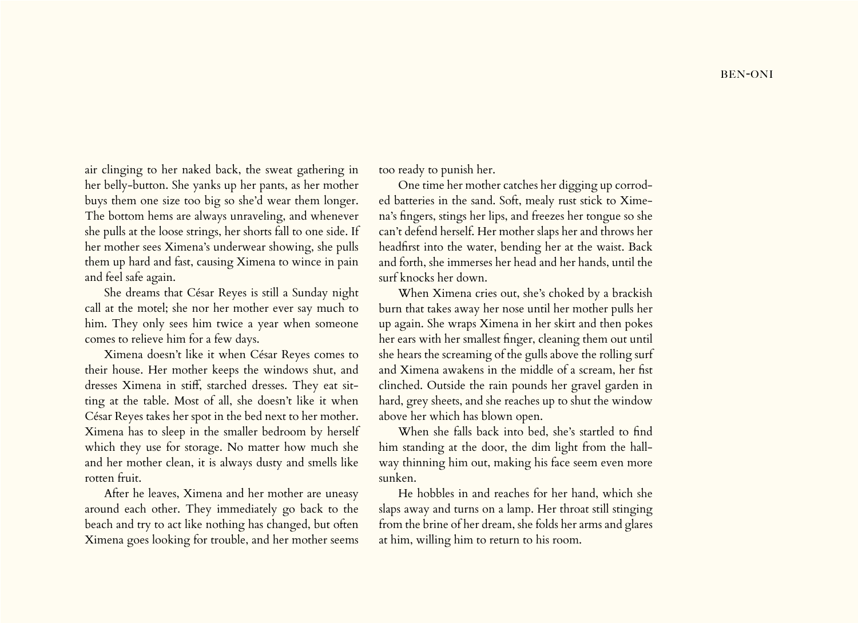air clinging to her naked back, the sweat gathering in her belly-button. She yanks up her pants, as her mother buys them one size too big so she'd wear them longer. The bottom hems are always unraveling, and whenever she pulls at the loose strings, her shorts fall to one side. If her mother sees Ximena's underwear showing, she pulls them up hard and fast, causing Ximena to wince in pain and feel safe again.

She dreams that César Reyes is still a Sunday night call at the motel; she nor her mother ever say much to him. They only sees him twice a year when someone comes to relieve him for a few days.

Ximena doesn't like it when César Reyes comes to their house. Her mother keeps the windows shut, and dresses Ximena in stiff, starched dresses. They eat sitting at the table. Most of all, she doesn't like it when César Reyes takes her spot in the bed next to her mother. Ximena has to sleep in the smaller bedroom by herself which they use for storage. No matter how much she and her mother clean, it is always dusty and smells like rotten fruit.

After he leaves, Ximena and her mother are uneasy around each other. They immediately go back to the beach and try to act like nothing has changed, but often Ximena goes looking for trouble, and her mother seems too ready to punish her.

One time her mother catches her digging up corroded batteries in the sand. Soft, mealy rust stick to Ximena's fingers, stings her lips, and freezes her tongue so she can't defend herself. Her mother slaps her and throws her headfirst into the water, bending her at the waist. Back and forth, she immerses her head and her hands, until the surf knocks her down.

When Ximena cries out, she's choked by a brackish burn that takes away her nose until her mother pulls her up again. She wraps Ximena in her skirt and then pokes her ears with her smallest finger, cleaning them out until she hears the screaming of the gulls above the rolling surf and Ximena awakens in the middle of a scream, her fist clinched. Outside the rain pounds her gravel garden in hard, grey sheets, and she reaches up to shut the window above her which has blown open.

When she falls back into bed, she's startled to find him standing at the door, the dim light from the hallway thinning him out, making his face seem even more sunken.

He hobbles in and reaches for her hand, which she slaps away and turns on a lamp. Her throat still stinging from the brine of her dream, she folds her arms and glares at him, willing him to return to his room.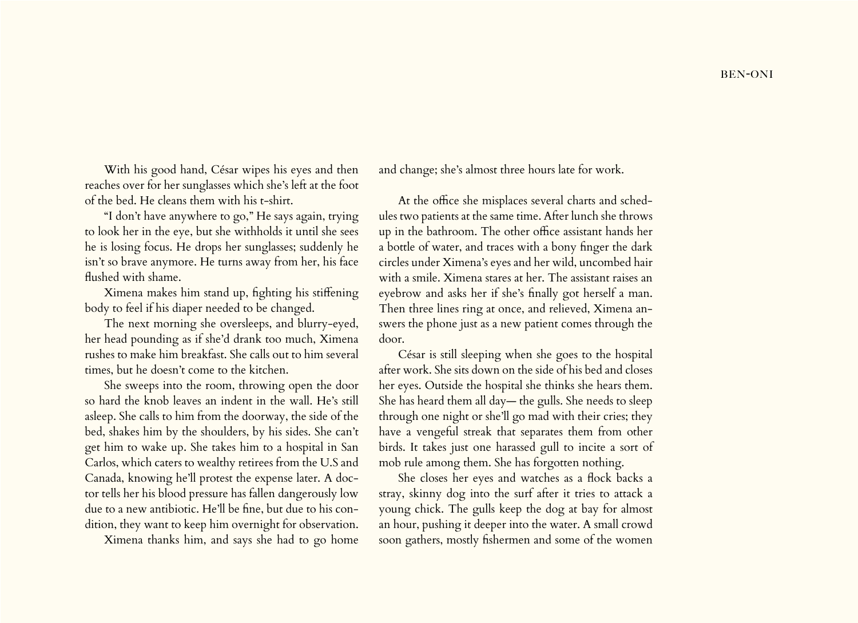With his good hand, César wipes his eyes and then reaches over for her sunglasses which she's left at the foot of the bed. He cleans them with his t-shirt.

"I don't have anywhere to go," He says again, trying to look her in the eye, but she withholds it until she sees he is losing focus. He drops her sunglasses; suddenly he isn't so brave anymore. He turns away from her, his face flushed with shame.

Ximena makes him stand up, fighting his stiffening body to feel if his diaper needed to be changed.

The next morning she oversleeps, and blurry-eyed, her head pounding as if she'd drank too much, Ximena rushes to make him breakfast. She calls out to him several times, but he doesn't come to the kitchen.

She sweeps into the room, throwing open the door so hard the knob leaves an indent in the wall. He's still asleep. She calls to him from the doorway, the side of the bed, shakes him by the shoulders, by his sides. She can't get him to wake up. She takes him to a hospital in San Carlos, which caters to wealthy retirees from the U.S and Canada, knowing he'll protest the expense later. A doctor tells her his blood pressure has fallen dangerously low due to a new antibiotic. He'll be fine, but due to his condition, they want to keep him overnight for observation.

Ximena thanks him, and says she had to go home

and change; she's almost three hours late for work.

At the office she misplaces several charts and schedules two patients at the same time. After lunch she throws up in the bathroom. The other office assistant hands her a bottle of water, and traces with a bony finger the dark circles under Ximena's eyes and her wild, uncombed hair with a smile. Ximena stares at her. The assistant raises an eyebrow and asks her if she's finally got herself a man. Then three lines ring at once, and relieved, Ximena answers the phone just as a new patient comes through the door.

César is still sleeping when she goes to the hospital after work. She sits down on the side of his bed and closes her eyes. Outside the hospital she thinks she hears them. She has heard them all day— the gulls. She needs to sleep through one night or she'll go mad with their cries; they have a vengeful streak that separates them from other birds. It takes just one harassed gull to incite a sort of mob rule among them. She has forgotten nothing.

She closes her eyes and watches as a flock backs a stray, skinny dog into the surf after it tries to attack a young chick. The gulls keep the dog at bay for almost an hour, pushing it deeper into the water. A small crowd soon gathers, mostly fishermen and some of the women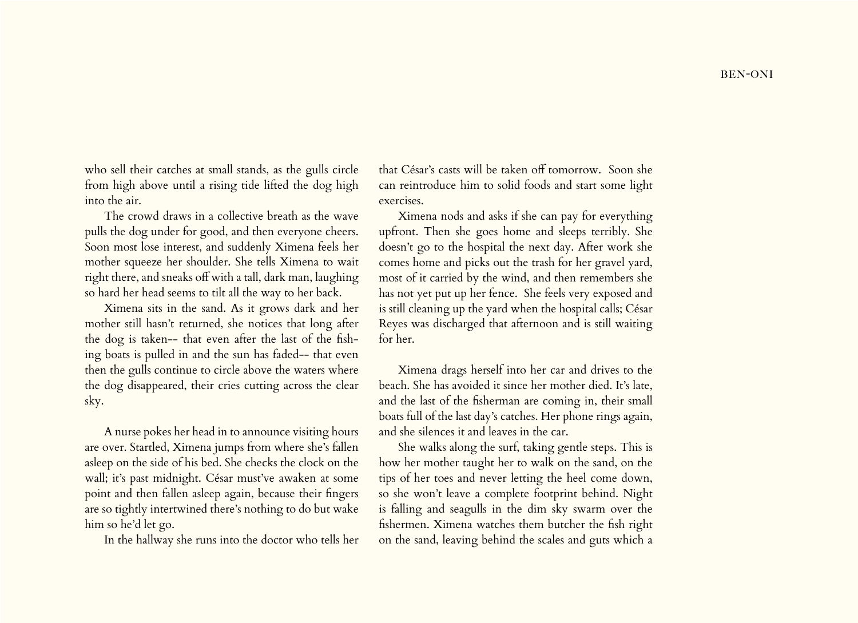who sell their catches at small stands, as the gulls circle from high above until a rising tide lifted the dog high into the air.

The crowd draws in a collective breath as the wave pulls the dog under for good, and then everyone cheers. Soon most lose interest, and suddenly Ximena feels her mother squeeze her shoulder. She tells Ximena to wait right there, and sneaks off with a tall, dark man, laughing so hard her head seems to tilt all the way to her back.

Ximena sits in the sand. As it grows dark and her mother still hasn't returned, she notices that long after the dog is taken-- that even after the last of the fishing boats is pulled in and the sun has faded-- that even then the gulls continue to circle above the waters where the dog disappeared, their cries cutting across the clear sky.

A nurse pokes her head in to announce visiting hours are over. Startled, Ximena jumps from where she's fallen asleep on the side of his bed. She checks the clock on the wall; it's past midnight. César must've awaken at some point and then fallen asleep again, because their fingers are so tightly intertwined there's nothing to do but wake him so he'd let go.

In the hallway she runs into the doctor who tells her

that César's casts will be taken off tomorrow. Soon she can reintroduce him to solid foods and start some light exercises.

Ximena nods and asks if she can pay for everything upfront. Then she goes home and sleeps terribly. She doesn't go to the hospital the next day. After work she comes home and picks out the trash for her gravel yard, most of it carried by the wind, and then remembers she has not yet put up her fence. She feels very exposed and is still cleaning up the yard when the hospital calls; César Reyes was discharged that afternoon and is still waiting for her.

Ximena drags herself into her car and drives to the beach. She has avoided it since her mother died. It's late, and the last of the fisherman are coming in, their small boats full of the last day's catches. Her phone rings again, and she silences it and leaves in the car.

She walks along the surf, taking gentle steps. This is how her mother taught her to walk on the sand, on the tips of her toes and never letting the heel come down, so she won't leave a complete footprint behind. Night is falling and seagulls in the dim sky swarm over the fishermen. Ximena watches them butcher the fish right on the sand, leaving behind the scales and guts which a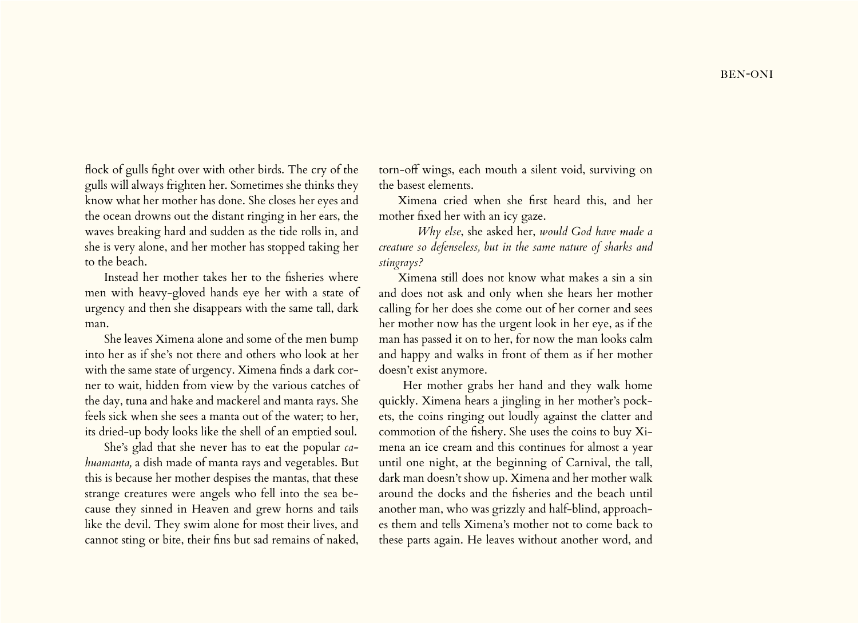flock of gulls fight over with other birds. The cry of the gulls will always frighten her. Sometimes she thinks they know what her mother has done. She closes her eyes and the ocean drowns out the distant ringing in her ears, the waves breaking hard and sudden as the tide rolls in, and she is very alone, and her mother has stopped taking her to the beach.

Instead her mother takes her to the fisheries where men with heavy-gloved hands eye her with a state of urgency and then she disappears with the same tall, dark man.

She leaves Ximena alone and some of the men bump into her as if she's not there and others who look at her with the same state of urgency. Ximena finds a dark corner to wait, hidden from view by the various catches of the day, tuna and hake and mackerel and manta rays. She feels sick when she sees a manta out of the water; to her, its dried-up body looks like the shell of an emptied soul.

She's glad that she never has to eat the popular *cahuamanta,* a dish made of manta rays and vegetables. But this is because her mother despises the mantas, that these strange creatures were angels who fell into the sea because they sinned in Heaven and grew horns and tails like the devil. They swim alone for most their lives, and cannot sting or bite, their fins but sad remains of naked,

torn-off wings, each mouth a silent void, surviving on the basest elements.

Ximena cried when she first heard this, and her mother fixed her with an icy gaze.

 *Why else*, she asked her, *would God have made a creature so defenseless, but in the same nature of sharks and stingrays?* 

Ximena still does not know what makes a sin a sin and does not ask and only when she hears her mother calling for her does she come out of her corner and sees her mother now has the urgent look in her eye, as if the man has passed it on to her, for now the man looks calm and happy and walks in front of them as if her mother doesn't exist anymore.

 Her mother grabs her hand and they walk home quickly. Ximena hears a jingling in her mother's pockets, the coins ringing out loudly against the clatter and commotion of the fishery. She uses the coins to buy Ximena an ice cream and this continues for almost a year until one night, at the beginning of Carnival, the tall, dark man doesn't show up. Ximena and her mother walk around the docks and the fisheries and the beach until another man, who was grizzly and half-blind, approaches them and tells Ximena's mother not to come back to these parts again. He leaves without another word, and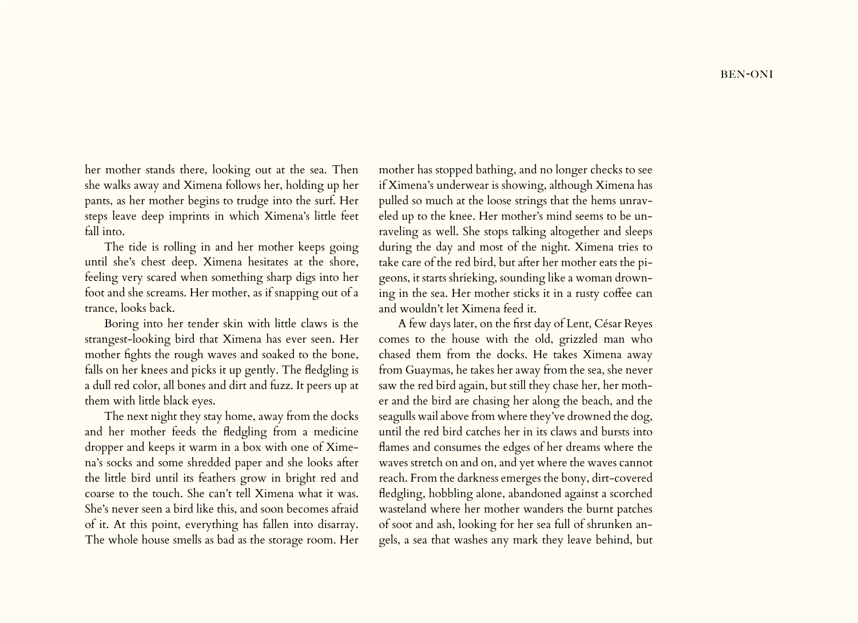her mother stands there, looking out at the sea. Then she walks away and Ximena follows her, holding up her pants, as her mother begins to trudge into the surf. Her steps leave deep imprints in which Ximena's little feet fall into.

The tide is rolling in and her mother keeps going until she's chest deep. Ximena hesitates at the shore, feeling very scared when something sharp digs into her foot and she screams. Her mother, as if snapping out of a trance, looks back.

Boring into her tender skin with little claws is the strangest-looking bird that Ximena has ever seen. Her mother fights the rough waves and soaked to the bone, falls on her knees and picks it up gently. The fledgling is a dull red color, all bones and dirt and fuzz. It peers up at them with little black eyes.

The next night they stay home, away from the docks and her mother feeds the fledgling from a medicine dropper and keeps it warm in a box with one of Ximena's socks and some shredded paper and she looks after the little bird until its feathers grow in bright red and coarse to the touch. She can't tell Ximena what it was. She's never seen a bird like this, and soon becomes afraid of it. At this point, everything has fallen into disarray. The whole house smells as bad as the storage room. Her mother has stopped bathing, and no longer checks to see if Ximena's underwear is showing, although Ximena has pulled so much at the loose strings that the hems unraveled up to the knee. Her mother's mind seems to be unraveling as well. She stops talking altogether and sleeps during the day and most of the night. Ximena tries to take care of the red bird, but after her mother eats the pigeons, it starts shrieking, sounding like a woman drowning in the sea. Her mother sticks it in a rusty coffee can and wouldn't let Ximena feed it.

A few days later, on the first day of Lent, César Reyes comes to the house with the old, grizzled man who chased them from the docks. He takes Ximena away from Guaymas, he takes her away from the sea, she never saw the red bird again, but still they chase her, her mother and the bird are chasing her along the beach, and the seagulls wail above from where they've drowned the dog, until the red bird catches her in its claws and bursts into flames and consumes the edges of her dreams where the waves stretch on and on, and yet where the waves cannot reach. From the darkness emerges the bony, dirt-covered fledgling, hobbling alone, abandoned against a scorched wasteland where her mother wanders the burnt patches of soot and ash, looking for her sea full of shrunken angels, a sea that washes any mark they leave behind, but